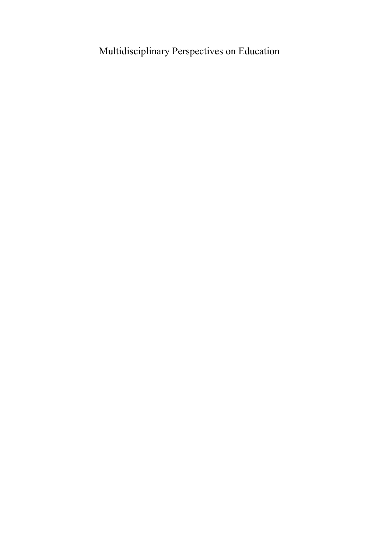# Multidisciplinary Perspectives on Education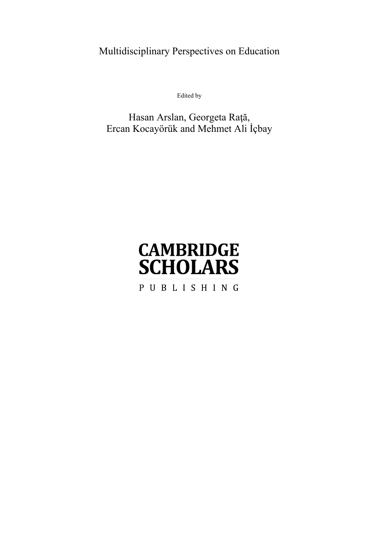Multidisciplinary Perspectives on Education

Edited by

## Hasan Arslan, Georgeta Raţă, Ercan Kocayörük and Mehmet Ali İçbay

# **CAMBRIDGE SCHOLARS** PUBLISHING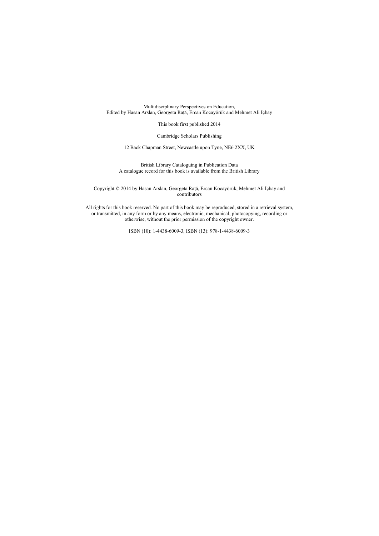Multidisciplinary Perspectives on Education, Edited by Hasan Arslan, Georgeta Rată, Ercan Kocayörük and Mehmet Ali İçbay

This book first published 2014

Cambridge Scholars Publishing

12 Back Chapman Street, Newcastle upon Tyne, NE6 2XX, UK

British Library Cataloguing in Publication Data A catalogue record for this book is available from the British Library

Copyright © 2014 by Hasan Arslan, Georgeta Raţă, Ercan Kocayörük, Mehmet Ali İçbay and contributors

All rights for this book reserved. No part of this book may be reproduced, stored in a retrieval system, or transmitted, in any form or by any means, electronic, mechanical, photocopying, recording or otherwise, without the prior permission of the copyright owner.

ISBN (10): 1-4438-6009-3, ISBN (13): 978-1-4438-6009-3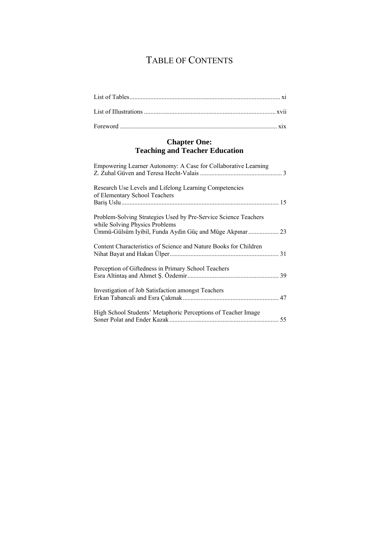# TABLE OF CONTENTS

## **Chapter One: Teaching and Teacher Education**

| Empowering Learner Autonomy: A Case for Collaborative Learning                                    |  |
|---------------------------------------------------------------------------------------------------|--|
| Research Use Levels and Lifelong Learning Competencies<br>of Elementary School Teachers           |  |
| Problem-Solving Strategies Used by Pre-Service Science Teachers<br>while Solving Physics Problems |  |
| Content Characteristics of Science and Nature Books for Children                                  |  |
| Perception of Giftedness in Primary School Teachers                                               |  |
| Investigation of Job Satisfaction amongst Teachers                                                |  |
| High School Students' Metaphoric Perceptions of Teacher Image                                     |  |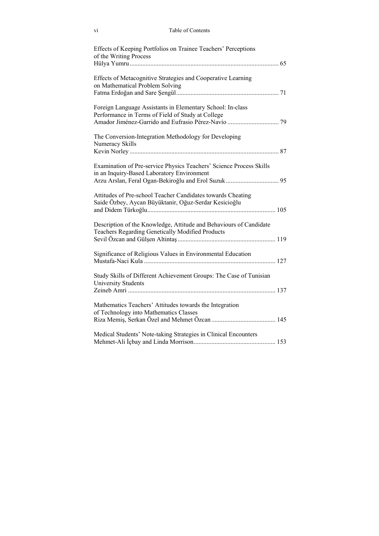| Table of Contents |  |
|-------------------|--|
|-------------------|--|

| Effects of Keeping Portfolios on Trainee Teachers' Perceptions<br>of the Writing Process                               |  |
|------------------------------------------------------------------------------------------------------------------------|--|
| Effects of Metacognitive Strategies and Cooperative Learning<br>on Mathematical Problem Solving                        |  |
| Foreign Language Assistants in Elementary School: In-class<br>Performance in Terms of Field of Study at College        |  |
| The Conversion-Integration Methodology for Developing<br>Numeracy Skills                                               |  |
| Examination of Pre-service Physics Teachers' Science Process Skills<br>in an Inquiry-Based Laboratory Environment      |  |
| Attitudes of Pre-school Teacher Candidates towards Cheating<br>Saide Özbey, Aycan Büyüktanir, Oğuz-Serdar Kesicioğlu   |  |
| Description of the Knowledge, Attitude and Behaviours of Candidate<br>Teachers Regarding Genetically Modified Products |  |
| Significance of Religious Values in Environmental Education                                                            |  |
| Study Skills of Different Achievement Groups: The Case of Tunisian<br><b>University Students</b>                       |  |
| Mathematics Teachers' Attitudes towards the Integration<br>of Technology into Mathematics Classes                      |  |
| Medical Students' Note-taking Strategies in Clinical Encounters                                                        |  |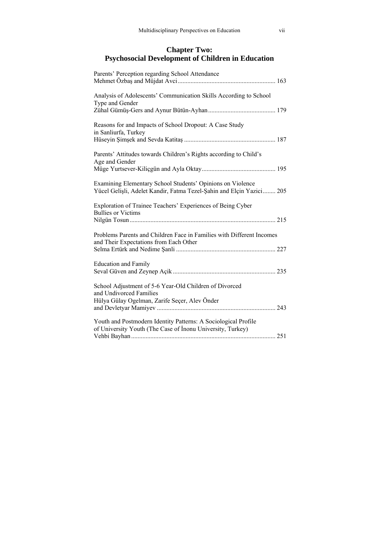## **Chapter Two:** Psychosocial Development of Children in Education

| Parents' Perception regarding School Attendance                                                                                    |  |
|------------------------------------------------------------------------------------------------------------------------------------|--|
| Analysis of Adolescents' Communication Skills According to School<br>Type and Gender                                               |  |
| Reasons for and Impacts of School Dropout: A Case Study<br>in Sanliurfa, Turkey                                                    |  |
| Parents' Attitudes towards Children's Rights according to Child's<br>Age and Gender                                                |  |
| Examining Elementary School Students' Opinions on Violence<br>Yücel Gelişli, Adelet Kandir, Fatma Tezel-Şahin and Elçin Yazici 205 |  |
| Exploration of Trainee Teachers' Experiences of Being Cyber<br><b>Bullies or Victims</b>                                           |  |
| Problems Parents and Children Face in Families with Different Incomes<br>and Their Expectations from Each Other                    |  |
| <b>Education and Family</b>                                                                                                        |  |
| School Adjustment of 5-6 Year-Old Children of Divorced<br>and Undivorced Families                                                  |  |
| Hülya Gülay Ogelman, Zarife Seçer, Alev Önder<br>243                                                                               |  |
| Youth and Postmodern Identity Patterns: A Sociological Profile<br>of University Youth (The Case of Inonu University, Turkey)       |  |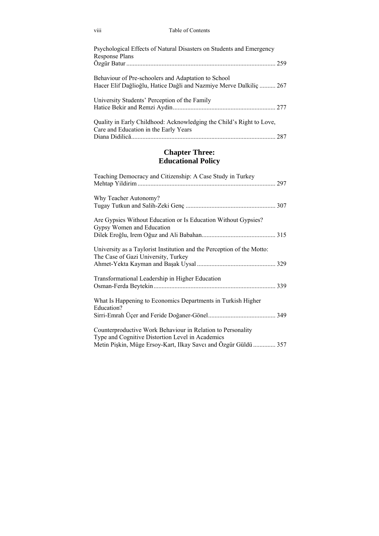|  |  | Table of Contents |
|--|--|-------------------|
|--|--|-------------------|

| Psychological Effects of Natural Disasters on Students and Emergency<br><b>Response Plans</b>                             |  |
|---------------------------------------------------------------------------------------------------------------------------|--|
|                                                                                                                           |  |
| Behaviour of Pre-schoolers and Adaptation to School<br>Hacer Elif Dağlioğlu, Hatice Dağli and Nazmiye Merve Dalkiliç  267 |  |
| University Students' Perception of the Family                                                                             |  |
| Quality in Early Childhood: Acknowledging the Child's Right to Love,<br>Care and Education in the Early Years             |  |
|                                                                                                                           |  |

# **Chapter Three:**<br>**Educational Policy**

| Teaching Democracy and Citizenship: A Case Study in Turkey                                                                                                                         |  |
|------------------------------------------------------------------------------------------------------------------------------------------------------------------------------------|--|
| Why Teacher Autonomy?                                                                                                                                                              |  |
| Are Gypsies Without Education or Is Education Without Gypsies?<br>Gypsy Women and Education                                                                                        |  |
| University as a Taylorist Institution and the Perception of the Motto:<br>The Case of Gazi University, Turkey                                                                      |  |
| Transformational Leadership in Higher Education                                                                                                                                    |  |
| What Is Happening to Economics Departments in Turkish Higher<br>Education?                                                                                                         |  |
| Counterproductive Work Behaviour in Relation to Personality<br>Type and Cognitive Distortion Level in Academics<br>Metin Pişkin, Müge Ersoy-Kart, Ilkay Savcı and Özgür Güldü  357 |  |

viii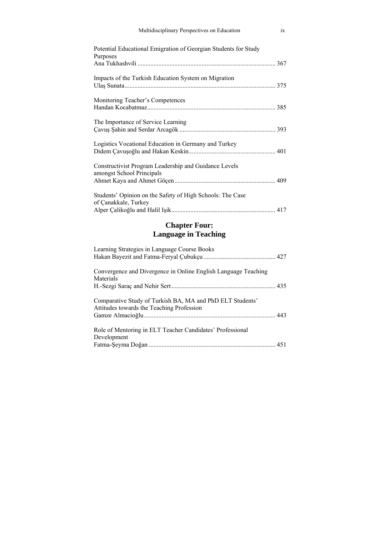| Multidisciplinary Perspectives on Education                                        | ix |
|------------------------------------------------------------------------------------|----|
| Potential Educational Emigration of Georgian Students for Study<br>Purposes        |    |
| Impacts of the Turkish Education System on Migration                               |    |
| Monitoring Teacher's Competences                                                   |    |
| The Importance of Service Learning                                                 |    |
| Logistics Vocational Education in Germany and Turkey                               |    |
| Constructivist Program Leadership and Guidance Levels<br>amongst School Principals |    |
| Students' Opinion on the Safety of High Schools: The Case<br>of Çanakkale, Turkey  |    |
|                                                                                    |    |

# **Chapter Four:**<br>Language in Teaching

| Learning Strategies in Language Course Books                                                           |  |
|--------------------------------------------------------------------------------------------------------|--|
| Convergence and Divergence in Online English Language Teaching<br>Materials                            |  |
|                                                                                                        |  |
| Comparative Study of Turkish BA, MA and PhD ELT Students'<br>Attitudes towards the Teaching Profession |  |
| Role of Mentoring in ELT Teacher Candidates' Professional                                              |  |
| Development                                                                                            |  |
|                                                                                                        |  |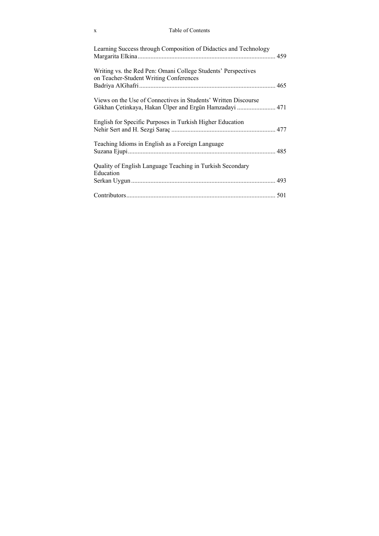### x Table of Contents

| Learning Success through Composition of Didactics and Technology                                        |  |
|---------------------------------------------------------------------------------------------------------|--|
| Writing vs. the Red Pen: Omani College Students' Perspectives<br>on Teacher-Student Writing Conferences |  |
| Views on the Use of Connectives in Students' Written Discourse                                          |  |
| English for Specific Purposes in Turkish Higher Education                                               |  |
| Teaching Idioms in English as a Foreign Language                                                        |  |
| Quality of English Language Teaching in Turkish Secondary                                               |  |
| Education                                                                                               |  |
|                                                                                                         |  |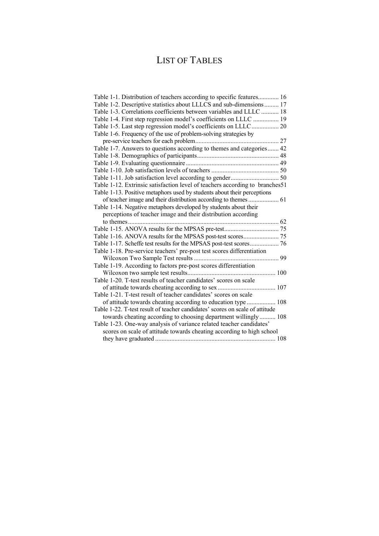# LIST OF TABLES

| Table 1-1. Distribution of teachers according to specific features 16        |
|------------------------------------------------------------------------------|
| Table 1-2. Descriptive statistics about LLLCS and sub-dimensions  17         |
| Table 1-3. Correlations coefficients between variables and LLLC  18          |
| Table 1-4. First step regression model's coefficients on LLLC  19            |
| Table 1-5. Last step regression model's coefficients on LLLC 20              |
| Table 1-6. Frequency of the use of problem-solving strategies by             |
|                                                                              |
| Table 1-7. Answers to questions according to themes and categories 42        |
|                                                                              |
|                                                                              |
|                                                                              |
|                                                                              |
| Table 1-12. Extrinsic satisfaction level of teachers according to branches51 |
| Table 1-13. Positive metaphors used by students about their perceptions      |
|                                                                              |
| Table 1-14. Negative metaphors developed by students about their             |
| perceptions of teacher image and their distribution according                |
|                                                                              |
|                                                                              |
|                                                                              |
|                                                                              |
| Table 1-18. Pre-service teachers' pre-post test scores differentiation       |
|                                                                              |
| Table 1-19. According to factors pre-post scores differentiation             |
|                                                                              |
| Table 1-20. T-test results of teacher candidates' scores on scale            |
|                                                                              |
| Table 1-21. T-test result of teacher candidates' scores on scale             |
|                                                                              |
| Table 1-22. T-test result of teacher candidates' scores on scale of attitude |
| towards cheating according to choosing department willingly 108              |
| Table 1-23. One-way analysis of variance related teacher candidates'         |
| scores on scale of attitude towards cheating according to high school        |
|                                                                              |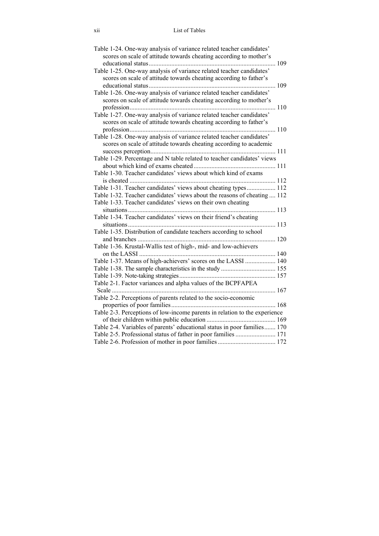| Table 1-24. One-way analysis of variance related teacher candidates'<br>scores on scale of attitude towards cheating according to mother's |  |
|--------------------------------------------------------------------------------------------------------------------------------------------|--|
|                                                                                                                                            |  |
| Table 1-25. One-way analysis of variance related teacher candidates'<br>scores on scale of attitude towards cheating according to father's |  |
| Table 1-26. One-way analysis of variance related teacher candidates'<br>scores on scale of attitude towards cheating according to mother's |  |
|                                                                                                                                            |  |
| Table 1-27. One-way analysis of variance related teacher candidates'<br>scores on scale of attitude towards cheating according to father's |  |
| Table 1-28. One-way analysis of variance related teacher candidates'<br>scores on scale of attitude towards cheating according to academic |  |
|                                                                                                                                            |  |
| Table 1-29. Percentage and N table related to teacher candidates' views                                                                    |  |
| Table 1-30. Teacher candidates' views about which kind of exams                                                                            |  |
| Table 1-31. Teacher candidates' views about cheating types 112                                                                             |  |
| Table 1-32. Teacher candidates' views about the reasons of cheating  112                                                                   |  |
| Table 1-33. Teacher candidates' views on their own cheating                                                                                |  |
| Table 1-34. Teacher candidates' views on their friend's cheating                                                                           |  |
|                                                                                                                                            |  |
| Table 1-35. Distribution of candidate teachers according to school                                                                         |  |
|                                                                                                                                            |  |
| Table 1-36. Krustal-Wallis test of high-, mid- and low-achievers                                                                           |  |
|                                                                                                                                            |  |
| Table 1-37. Means of high-achievers' scores on the LASSI  140                                                                              |  |
|                                                                                                                                            |  |
|                                                                                                                                            |  |
| Table 2-1. Factor variances and alpha values of the BCPFAPEA                                                                               |  |
|                                                                                                                                            |  |
| Table 2-2. Perceptions of parents related to the socio-economic                                                                            |  |
|                                                                                                                                            |  |
| Table 2-3. Perceptions of low-income parents in relation to the experience                                                                 |  |
|                                                                                                                                            |  |
| Table 2-4. Variables of parents' educational status in poor families 170                                                                   |  |
| Table 2-5. Professional status of father in poor families  171                                                                             |  |
|                                                                                                                                            |  |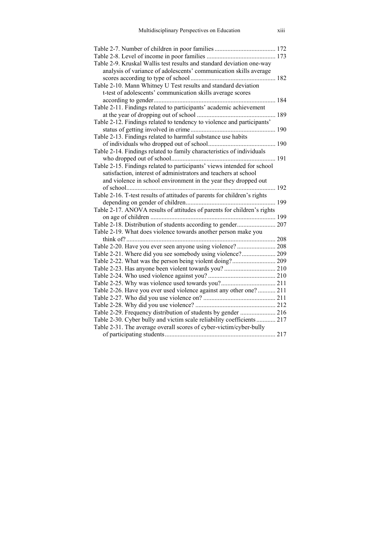| Table 2-9. Kruskal Wallis test results and standard deviation one-way    |  |
|--------------------------------------------------------------------------|--|
| analysis of variance of adolescents' communication skills average        |  |
|                                                                          |  |
| Table 2-10. Mann Whitney U Test results and standard deviation           |  |
| t-test of adolescents' communication skills average scores               |  |
|                                                                          |  |
| Table 2-11. Findings related to participants' academic achievement       |  |
|                                                                          |  |
| Table 2-12. Findings related to tendency to violence and participants'   |  |
|                                                                          |  |
| Table 2-13. Findings related to harmful substance use habits             |  |
|                                                                          |  |
| Table 2-14. Findings related to family characteristics of individuals    |  |
|                                                                          |  |
| Table 2-15. Findings related to participants' views intended for school  |  |
| satisfaction, interest of administrators and teachers at school          |  |
| and violence in school environment in the year they dropped out          |  |
|                                                                          |  |
| Table 2-16. T-test results of attitudes of parents for children's rights |  |
|                                                                          |  |
| Table 2-17. ANOVA results of attitudes of parents for children's rights  |  |
|                                                                          |  |
| Table 2-18. Distribution of students according to gender 207             |  |
| Table 2-19. What does violence towards another person make you           |  |
|                                                                          |  |
| Table 2-20. Have you ever seen anyone using violence?  208               |  |
| Table 2-21. Where did you see somebody using violence? 209               |  |
|                                                                          |  |
|                                                                          |  |
|                                                                          |  |
|                                                                          |  |
| Table 2-26. Have you ever used violence against any other one?  211      |  |
|                                                                          |  |
|                                                                          |  |
| Table 2-29. Frequency distribution of students by gender  216            |  |
| Table 2-30. Cyber bully and victim scale reliability coefficients  217   |  |
| Table 2-31. The average overall scores of cyber-victim/cyber-bully       |  |
|                                                                          |  |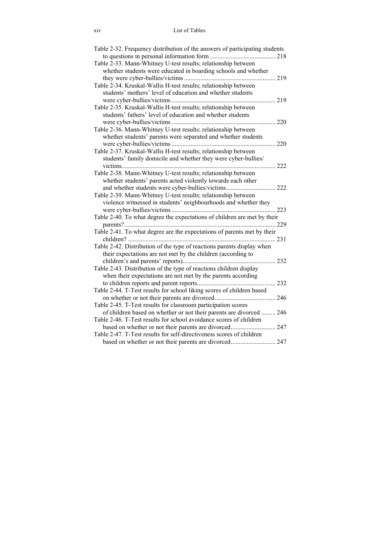| Table 2-32. Frequency distribution of the answers of participating students |     |
|-----------------------------------------------------------------------------|-----|
|                                                                             |     |
| Table 2-33. Mann-Whitney U-test results; relationship between               |     |
| whether students were educated in boarding schools and whether              |     |
|                                                                             | 219 |
| Table 2-34. Kruskal-Wallis H-test results; relationship between             |     |
| students' mothers' level of education and whether students                  |     |
|                                                                             | 219 |
| Table 2-35. Kruskal-Wallis H-test results; relationship between             |     |
| students' fathers' level of education and whether students                  |     |
|                                                                             | 220 |
| Table 2-36. Mann-Whitney U-test results; relationship between               |     |
| whether students' parents were separated and whether students               |     |
|                                                                             | 220 |
| Table 2-37. Kruskal-Wallis H-test results; relationship between             |     |
| students' family domicile and whether they were cyber-bullies/              |     |
|                                                                             | 222 |
| Table 2-38. Mann-Whitney U-test results; relationship between               |     |
| whether students' parents acted violently towards each other                |     |
| and whether students were cyber-bullies/victims 222                         |     |
| Table 2-39. Mann-Whitney U-test results; relationship between               |     |
| violence witnessed in students' neighbourhoods and whether they             |     |
|                                                                             |     |
| Table 2-40. To what degree the expectations of children are met by their    |     |
|                                                                             |     |
| Table 2-41. To what degree are the expectations of parents met by their     |     |
|                                                                             |     |
| Table 2-42. Distribution of the type of reactions parents display when      |     |
| their expectations are not met by the children (according to                |     |
|                                                                             |     |
| Table 2-43. Distribution of the type of reactions children display          |     |
| when their expectations are not met by the parents according                |     |
|                                                                             |     |
| Table 2-44. T-Test results for school liking scores of children based       |     |
|                                                                             |     |
| Table 2-45. T-Test results for classroom participation scores               |     |
| of children based on whether or not their parents are divorced  246         |     |
| Table 2-46. T-Test results for school avoidance scores of children          |     |
|                                                                             |     |
|                                                                             |     |
| Table 2-47. T-Test results for self-directiveness scores of children        |     |
|                                                                             |     |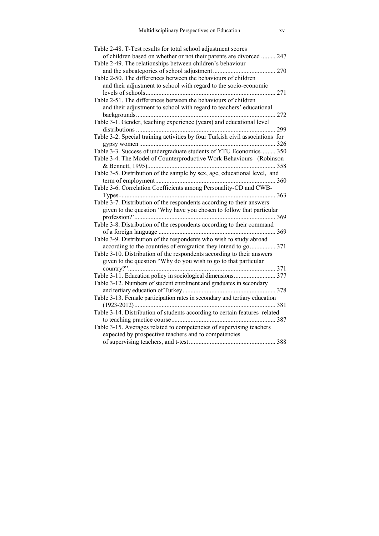| Table 2-48. T-Test results for total school adjustment scores                 |  |
|-------------------------------------------------------------------------------|--|
| of children based on whether or not their parents are divorced  247           |  |
| Table 2-49. The relationships between children's behaviour                    |  |
|                                                                               |  |
| Table 2-50. The differences between the behaviours of children                |  |
| and their adjustment to school with regard to the socio-economic              |  |
|                                                                               |  |
| Table 2-51. The differences between the behaviours of children                |  |
| and their adjustment to school with regard to teachers' educational           |  |
|                                                                               |  |
| Table 3-1. Gender, teaching experience (years) and educational level          |  |
|                                                                               |  |
| Table 3-2. Special training activities by four Turkish civil associations for |  |
|                                                                               |  |
| Table 3-3. Success of undergraduate students of YTU Economics 350             |  |
| Table 3-4. The Model of Counterproductive Work Behaviours (Robinson           |  |
|                                                                               |  |
| Table 3-5. Distribution of the sample by sex, age, educational level, and     |  |
|                                                                               |  |
| Table 3-6. Correlation Coefficients among Personality-CD and CWB-             |  |
|                                                                               |  |
| Table 3-7. Distribution of the respondents according to their answers         |  |
| given to the question 'Why have you chosen to follow that particular          |  |
|                                                                               |  |
| Table 3-8. Distribution of the respondents according to their command         |  |
|                                                                               |  |
| Table 3-9. Distribution of the respondents who wish to study abroad           |  |
| according to the countries of emigration they intend to go 371                |  |
| Table 3-10. Distribution of the respondents according to their answers        |  |
| given to the question "Why do you wish to go to that particular               |  |
|                                                                               |  |
|                                                                               |  |
| Table 3-12. Numbers of student enrolment and graduates in secondary           |  |
|                                                                               |  |
| Table 3-13. Female participation rates in secondary and tertiary education    |  |
|                                                                               |  |
| Table 3-14. Distribution of students according to certain features related    |  |
|                                                                               |  |
| Table 3-15. Averages related to competencies of supervising teachers          |  |
| expected by prospective teachers and to competencies                          |  |
|                                                                               |  |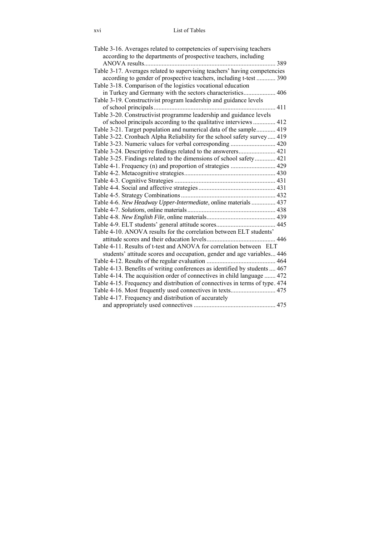| Table 3-16. Averages related to competencies of supervising teachers        |     |
|-----------------------------------------------------------------------------|-----|
| according to the departments of prospective teachers, including             |     |
|                                                                             | 389 |
| Table 3-17. Averages related to supervising teachers' having competencies   |     |
| according to gender of prospective teachers, including t-test  390          |     |
| Table 3-18. Comparison of the logistics vocational education                |     |
| in Turkey and Germany with the sectors characteristics 406                  |     |
| Table 3-19. Constructivist program leadership and guidance levels           |     |
| 411                                                                         |     |
| Table 3-20. Constructivist programme leadership and guidance levels         |     |
| of school principals according to the qualitative interviews  412           |     |
| Table 3-21. Target population and numerical data of the sample 419          |     |
| Table 3-22. Cronbach Alpha Reliability for the school safety survey 419     |     |
| Table 3-23. Numeric values for verbal corresponding  420                    |     |
|                                                                             |     |
| Table 3-25. Findings related to the dimensions of school safety 421         |     |
| Table 4-1. Frequency (n) and proportion of strategies  429                  |     |
|                                                                             |     |
|                                                                             |     |
|                                                                             |     |
|                                                                             |     |
| Table 4-6. New Headway Upper-Intermediate, online materials  437            |     |
|                                                                             |     |
|                                                                             |     |
|                                                                             |     |
| Table 4-10. ANOVA results for the correlation between ELT students'         |     |
|                                                                             |     |
| Table 4-11. Results of t-test and ANOVA for correlation between ELT         |     |
| students' attitude scores and occupation, gender and age variables 446      |     |
|                                                                             |     |
| Table 4-13. Benefits of writing conferences as identified by students  467  |     |
| Table 4-14. The acquisition order of connectives in child language  472     |     |
| Table 4-15. Frequency and distribution of connectives in terms of type. 474 |     |
| Table 4-16. Most frequently used connectives in texts 475                   |     |
| Table 4-17. Frequency and distribution of accurately                        |     |
|                                                                             |     |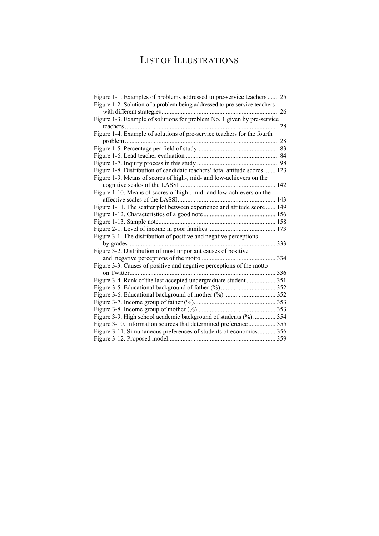# LIST OF ILLUSTRATIONS

| Figure 1-1. Examples of problems addressed to pre-service teachers  25     |     |
|----------------------------------------------------------------------------|-----|
| Figure 1-2. Solution of a problem being addressed to pre-service teachers  |     |
|                                                                            | 26  |
| Figure 1-3. Example of solutions for problem No. 1 given by pre-service    |     |
| teachers                                                                   | 28  |
| Figure 1-4. Example of solutions of pre-service teachers for the fourth    |     |
|                                                                            |     |
|                                                                            |     |
|                                                                            |     |
|                                                                            |     |
| Figure 1-8. Distribution of candidate teachers' total attitude scores  123 |     |
| Figure 1-9. Means of scores of high-, mid- and low-achievers on the        |     |
|                                                                            | 142 |
| Figure 1-10. Means of scores of high-, mid- and low-achievers on the       |     |
|                                                                            |     |
| Figure 1-11. The scatter plot between experience and attitude score  149   |     |
|                                                                            |     |
|                                                                            | 158 |
|                                                                            |     |
| Figure 3-1. The distribution of positive and negative perceptions          |     |
|                                                                            | 333 |
| Figure 3-2. Distribution of most important causes of positive              |     |
|                                                                            | 334 |
| Figure 3-3. Causes of positive and negative perceptions of the motto       |     |
|                                                                            |     |
| Figure 3-4. Rank of the last accepted undergraduate student  351           |     |
|                                                                            |     |
|                                                                            |     |
|                                                                            |     |
|                                                                            |     |
| Figure 3-9. High school academic background of students (%) 354            |     |
| Figure 3-10. Information sources that determined preference 355            |     |
| Figure 3-11. Simultaneous preferences of students of economics 356         |     |
|                                                                            |     |
|                                                                            |     |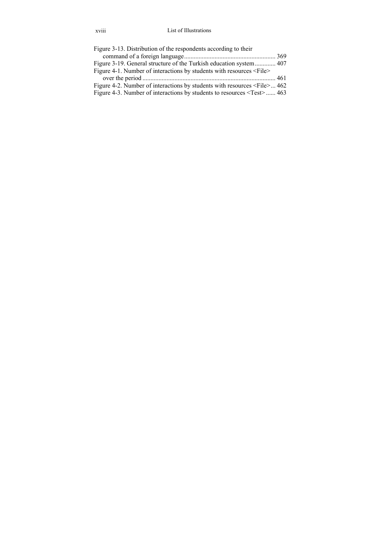### xviii List of Illustrations

| Figure 3-13. Distribution of the respondents according to their                    |  |
|------------------------------------------------------------------------------------|--|
|                                                                                    |  |
|                                                                                    |  |
| Figure 4-1. Number of interactions by students with resources <file></file>        |  |
|                                                                                    |  |
| Figure 4-2. Number of interactions by students with resources $\le$ File $\ge$ 462 |  |
| Figure 4-3. Number of interactions by students to resources $\le$ Test $>$ 463     |  |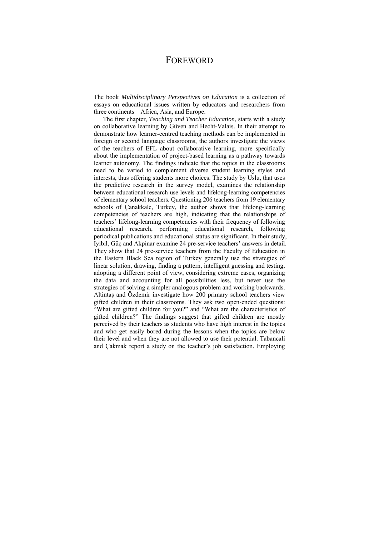## FOREWORD

The book *Multidisciplinary Perspectives on Education* is a collection of essays on educational issues written by educators and researchers from three continents—Africa, Asia, and Europe.

The first chapter, *Teaching and Teacher Education*, starts with a study on collaborative learning by Güven and Hecht-Valais. In their attempt to demonstrate how learner-centred teaching methods can be implemented in foreign or second language classrooms, the authors investigate the views of the teachers of EFL about collaborative learning, more specifically about the implementation of project-based learning as a pathway towards learner autonomy. The findings indicate that the topics in the classrooms need to be varied to complement diverse student learning styles and interests, thus offering students more choices. The study by Uslu, that uses the predictive research in the survey model, examines the relationship between educational research use levels and lifelong-learning competencies of elementary school teachers. Questioning 206 teachers from 19 elementary schools of Çanakkale, Turkey, the author shows that lifelong-learning competencies of teachers are high, indicating that the relationships of teachers' lifelong-learning competencies with their frequency of following educational research, performing educational research, following periodical publications and educational status are significant. In their study, Iyibil, Güç and Akpinar examine 24 pre-service teachers' answers in detail. They show that 24 pre-service teachers from the Faculty of Education in the Eastern Black Sea region of Turkey generally use the strategies of linear solution, drawing, finding a pattern, intelligent guessing and testing, adopting a different point of view, considering extreme cases, organizing the data and accounting for all possibilities less, but never use the strategies of solving a simpler analogous problem and working backwards. Altintaş and Özdemir investigate how 200 primary school teachers view gifted children in their classrooms. They ask two open-ended questions: "What are gifted children for you?" and "What are the characteristics of gifted children?" The findings suggest that gifted children are mostly perceived by their teachers as students who have high interest in the topics and who get easily bored during the lessons when the topics are below their level and when they are not allowed to use their potential. Tabancali and Çakmak report a study on the teacher's job satisfaction. Employing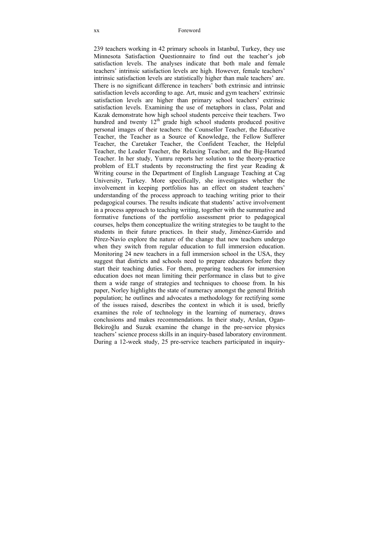#### xx Foreword

239 teachers working in 42 primary schools in Istanbul, Turkey, they use Minnesota Satisfaction Questionnaire to find out the teacher's job satisfaction levels. The analyses indicate that both male and female teachers' intrinsic satisfaction levels are high. However, female teachers' intrinsic satisfaction levels are statistically higher than male teachers' are. There is no significant difference in teachers' both extrinsic and intrinsic satisfaction levels according to age. Art, music and gym teachers' extrinsic satisfaction levels are higher than primary school teachers' extrinsic satisfaction levels. Examining the use of metaphors in class, Polat and Kazak demonstrate how high school students perceive their teachers. Two hundred and twenty  $12<sup>th</sup>$  grade high school students produced positive personal images of their teachers: the Counsellor Teacher, the Educative Teacher, the Teacher as a Source of Knowledge, the Fellow Sufferer Teacher, the Caretaker Teacher, the Confident Teacher, the Helpful Teacher, the Leader Teacher, the Relaxing Teacher, and the Big-Hearted Teacher. In her study, Yumru reports her solution to the theory-practice problem of ELT students by reconstructing the first year Reading & Writing course in the Department of English Language Teaching at Cag University, Turkey. More specifically, she investigates whether the involvement in keeping portfolios has an effect on student teachers' understanding of the process approach to teaching writing prior to their pedagogical courses. The results indicate that students' active involvement in a process approach to teaching writing, together with the summative and formative functions of the portfolio assessment prior to pedagogical courses, helps them conceptualize the writing strategies to be taught to the students in their future practices. In their study, Jiménez-Garrido and Pérez-Navío explore the nature of the change that new teachers undergo when they switch from regular education to full immersion education. Monitoring 24 new teachers in a full immersion school in the USA, they suggest that districts and schools need to prepare educators before they start their teaching duties. For them, preparing teachers for immersion education does not mean limiting their performance in class but to give them a wide range of strategies and techniques to choose from. In his paper, Norley highlights the state of numeracy amongst the general British population; he outlines and advocates a methodology for rectifying some of the issues raised, describes the context in which it is used, briefly examines the role of technology in the learning of numeracy, draws conclusions and makes recommendations. In their study, Arslan, Ogan-Bekiroğlu and Suzuk examine the change in the pre-service physics teachers' science process skills in an inquiry-based laboratory environment. During a 12-week study, 25 pre-service teachers participated in inquiry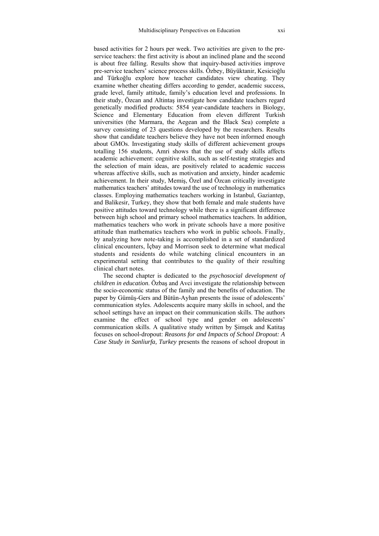based activities for 2 hours per week. Two activities are given to the preservice teachers: the first activity is about an inclined plane and the second is about free falling. Results show that inquiry-based activities improve pre-service teachers' science process skills. Özbey, Büyüktanir, Kesicioğlu and Türkoğlu explore how teacher candidates view cheating. They examine whether cheating differs according to gender, academic success, grade level, family attitude, family's education level and professions. In their study, Özcan and Altintaş investigate how candidate teachers regard genetically modified products: 5854 year-candidate teachers in Biology, Science and Elementary Education from eleven different Turkish universities (the Marmara, the Aegean and the Black Sea) complete a survey consisting of 23 questions developed by the researchers. Results show that candidate teachers believe they have not been informed enough about GMOs. Investigating study skills of different achievement groups totalling 156 students, Amri shows that the use of study skills affects academic achievement: cognitive skills, such as self-testing strategies and the selection of main ideas, are positively related to academic success whereas affective skills, such as motivation and anxiety, hinder academic achievement. In their study, Memiş, Özel and Özcan critically investigate mathematics teachers' attitudes toward the use of technology in mathematics classes. Employing mathematics teachers working in Istanbul, Gaziantep, and Balikesir, Turkey, they show that both female and male students have positive attitudes toward technology while there is a significant difference between high school and primary school mathematics teachers. In addition, mathematics teachers who work in private schools have a more positive attitude than mathematics teachers who work in public schools. Finally, by analyzing how note-taking is accomplished in a set of standardized clinical encounters, İçbay and Morrison seek to determine what medical students and residents do while watching clinical encounters in an experimental setting that contributes to the quality of their resulting clinical chart notes.

The second chapter is dedicated to the *psychosocial development of children in education*. Özbaş and Avci investigate the relationship between the socio-economic status of the family and the benefits of education. The paper by Gümüş-Gers and Bütün-Ayhan presents the issue of adolescents' communication styles. Adolescents acquire many skills in school, and the school settings have an impact on their communication skills. The authors examine the effect of school type and gender on adolescents' communication skills. A qualitative study written by Şimşek and Katitaş focuses on school-dropout: *Reasons for and Impacts of School Dropout: A Case Study in Sanliurfa, Turkey* presents the reasons of school dropout in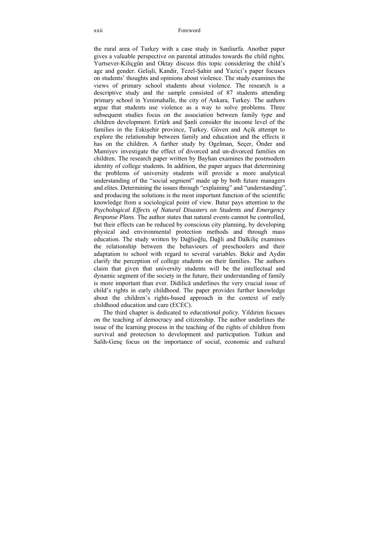the rural area of Turkey with a case study in Sanliurfa. Another paper gives a valuable perspective on parental attitudes towards the child rights. Yurtsever-Kiliçgün and Oktay discuss this topic considering the child's age and gender. Gelişli, Kandir, Tezel-Şahin and Yazici's paper focuses on students' thoughts and opinions about violence. The study examines the views of primary school students about violence. The research is a descriptive study and the sample consisted of 87 students attending primary school in Yenimahalle, the city of Ankara, Turkey. The authors argue that students use violence as a way to solve problems. Three subsequent studies focus on the association between family type and children development. Ertürk and Şanli consider the income level of the families in the Eskişehir province, Turkey. Güven and Açik attempt to explore the relationship between family and education and the effects it has on the children. A further study by Ogelman, Secer, Önder and Mamiyev investigate the effect of divorced and un-divorced families on children. The research paper written by Bayhan examines the postmodern identity of college students. In addition, the paper argues that determining the problems of university students will provide a more analytical understanding of the "social segment" made up by both future managers and elites. Determining the issues through "explaining" and "understanding", and producing the solutions is the most important function of the scientific knowledge from a sociological point of view. Batur pays attention to the *Psychological Effects of Natural Disasters on Students and Emergency Response Plans*. The author states that natural events cannot be controlled, but their effects can be reduced by conscious city planning, by developing physical and environmental protection methods and through mass education. The study written by Dağlioğlu, Dağli and Dalkiliç examines the relationship between the behaviours of preschoolers and their adaptation to school with regard to several variables. Bekir and Aydin clarify the perception of college students on their families. The authors claim that given that university students will be the intellectual and dynamic segment of the society in the future, their understanding of family is more important than ever. Didilică underlines the very crucial issue of child's rights in early childhood. The paper provides further knowledge about the children's rights-based approach in the context of early childhood education and care (ECEC).

The third chapter is dedicated to *educational policy.* Yildirim focuses on the teaching of democracy and citizenship. The author underlines the issue of the learning process in the teaching of the rights of children from survival and protection to development and participation. Tutkun and Salih-Genç focus on the importance of social, economic and cultural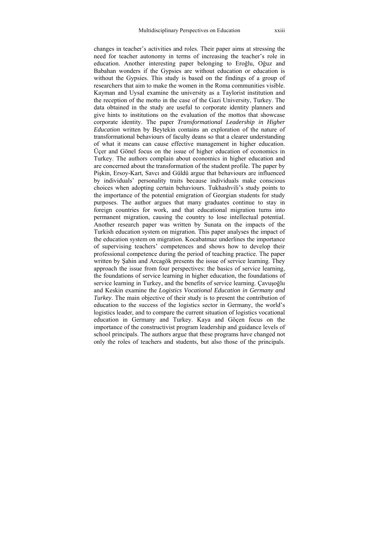changes in teacher's activities and roles. Their paper aims at stressing the need for teacher autonomy in terms of increasing the teacher's role in education. Another interesting paper belonging to Eroğlu, Oğuz and Babahan wonders if the Gypsies are without education or education is without the Gypsies. This study is based on the findings of a group of researchers that aim to make the women in the Roma communities visible. Kayman and UysaI examine the university as a Taylorist institution and the reception of the motto in the case of the Gazi University, Turkey. The data obtained in the study are useful to corporate identity planners and give hints to institutions on the evaluation of the mottos that showcase corporate identity. The paper *Transformational Leadership in Higher Education* written by Beytekin contains an exploration of the nature of transformational behaviours of faculty deans so that a clearer understanding of what it means can cause effective management in higher education. Üçer and Gönel focus on the issue of higher education of economics in Turkey. The authors complain about economics in higher education and are concerned about the transformation of the student profile. The paper by Pişkin, Ersoy-Kart, Savcı and Güldü argue that behaviours are influenced by individuals' personality traits because individuals make conscious choices when adopting certain behaviours. Tukhashvili's study points to the importance of the potential emigration of Georgian students for study purposes. The author argues that many graduates continue to stay in foreign countries for work, and that educational migration turns into permanent migration, causing the country to lose intellectual potential. Another research paper was written by Sunata on the impacts of the Turkish education system on migration*.* This paper analyses the impact of the education system on migration. Kocabatmaz underlines the importance of supervising teachers' competences and shows how to develop their professional competence during the period of teaching practice. The paper written by Şahin and Arcagök presents the issue of service learning. They approach the issue from four perspectives: the basics of service learning, the foundations of service learning in higher education, the foundations of service learning in Turkey, and the benefits of service learning. Çavuşoğlu and Keskin examine the *Logistics Vocational Education in Germany and Turkey*. The main objective of their study is to present the contribution of education to the success of the logistics sector in Germany, the world's logistics leader, and to compare the current situation of logistics vocational education in Germany and Turkey. Kaya and Göçen focus on the importance of the constructivist program leadership and guidance levels of school principals. The authors argue that these programs have changed not only the roles of teachers and students, but also those of the principals.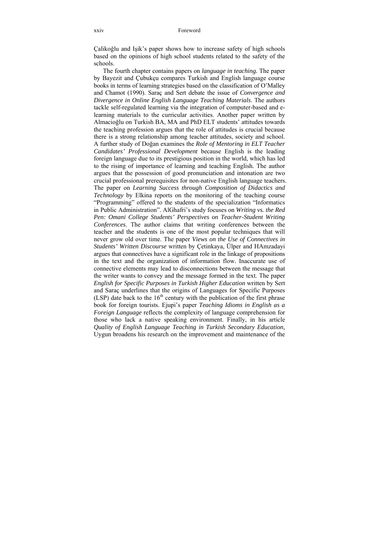Çalikoğlu and Işik's paper shows how to increase safety of high schools based on the opinions of high school students related to the safety of the schools.

The fourth chapter contains papers on *language in teaching.* The paper by Bayezit and Çubukçu compares Turkish and English language course books in terms of learning strategies based on the classification of O'Malley and Chamot (1990). Saraç and Sert debate the issue of *Convergence and Divergence in Online English Language Teaching Materials*. The authors tackle self-regulated learning via the integration of computer-based and elearning materials to the curricular activities. Another paper written by Almacioğlu on Turkish BA, MA and PhD ELT students' attitudes towards the teaching profession argues that the role of attitudes is crucial because there is a strong relationship among teacher attitudes, society and school. A further study of Doğan examines the *Role of Mentoring in ELT Teacher Candidates' Professional Development* because English is the leading foreign language due to its prestigious position in the world, which has led to the rising of importance of learning and teaching English. The author argues that the possession of good pronunciation and intonation are two crucial professional prerequisites for non-native English language teachers. The paper on *Learning Success through Composition of Didactics and Technology* by Elkina reports on the monitoring of the teaching course "Programming" offered to the students of the specialization "Informatics in Public Administration". AlGhafri's study focuses on *Writing vs. the Red Pen: Omani College Students' Perspectives on Teacher-Student Writing Conferences*. The author claims that writing conferences between the teacher and the students is one of the most popular techniques that will never grow old over time. The paper *Views on the Use of Connectives in Students' Written Discourse* written by Çetinkaya, Ülper and HAmzadayi argues that connectives have a significant role in the linkage of propositions in the text and the organization of information flow. Inaccurate use of connective elements may lead to disconnections between the message that the writer wants to convey and the message formed in the text. The paper *English for Specific Purposes in Turkish Higher Education* written by Sert and Saraç underlines that the origins of Languages for Specific Purposes (LSP) date back to the  $16<sup>th</sup>$  century with the publication of the first phrase book for foreign tourists. Ejupi's paper *Teaching Idioms in English as a Foreign Language* reflects the complexity of language comprehension for those who lack a native speaking environment. Finally, in his article *Quality of English Language Teaching in Turkish Secondary Education,*  Uygun broadens his research on the improvement and maintenance of the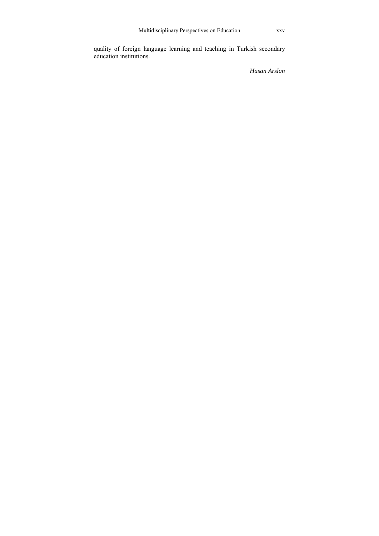quality of foreign language learning and teaching in Turkish secondary education institutions.

*Hasan Arslan*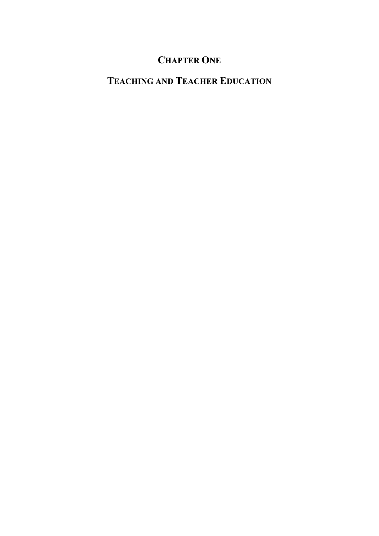# **CHAPTER ONE**

## **TEACHING AND TEACHER EDUCATION**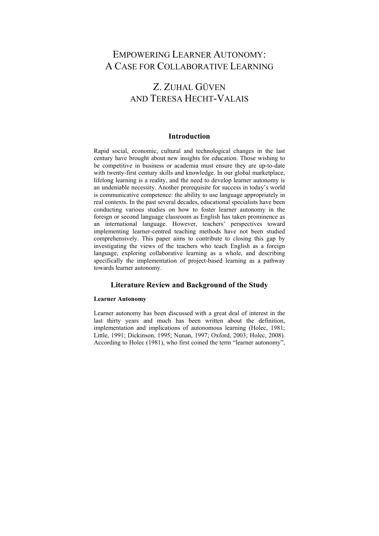## EMPOWERING LEARNER AUTONOMY: A CASE FOR COLLABORATIVE LEARNING

## Z. ZUHAL GÜVEN AND TERESA HECHT-VALAIS

## **Introduction**

Rapid social, economic, cultural and technological changes in the last century have brought about new insights for education. Those wishing to be competitive in business or academia must ensure they are up-to-date with twenty-first century skills and knowledge. In our global marketplace, lifelong learning is a reality, and the need to develop learner autonomy is an undeniable necessity. Another prerequisite for success in today's world is communicative competence: the ability to use language appropriately in real contexts. In the past several decades, educational specialists have been conducting various studies on how to foster learner autonomy in the foreign or second language classroom as English has taken prominence as an international language. However, teachers' perspectives toward implementing learner-centred teaching methods have not been studied comprehensively. This paper aims to contribute to closing this gap by investigating the views of the teachers who teach English as a foreign language, exploring collaborative learning as a whole, and describing specifically the implementation of project-based learning as a pathway towards learner autonomy.

### **Literature Review and Background of the Study**

#### **Learner Autonomy**

Learner autonomy has been discussed with a great deal of interest in the last thirty years and much has been written about the definition, implementation and implications of autonomous learning (Holec, 1981; Little, 1991; Dickinson, 1995; Nunan, 1997; Oxford, 2003; Holec, 2008). According to Holec (1981), who first coined the term "learner autonomy",